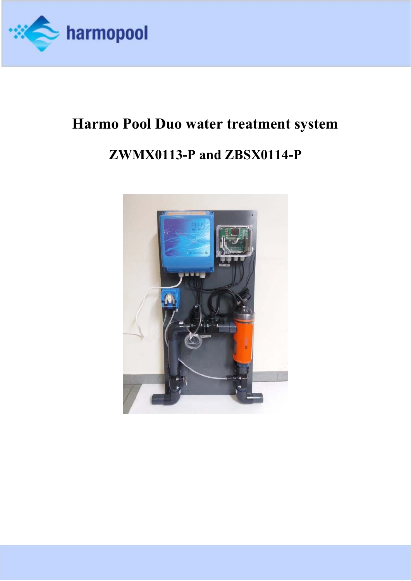

# **Harmo Pool Duo water treatment system ZWMX0113-P and ZBSX0114-P**

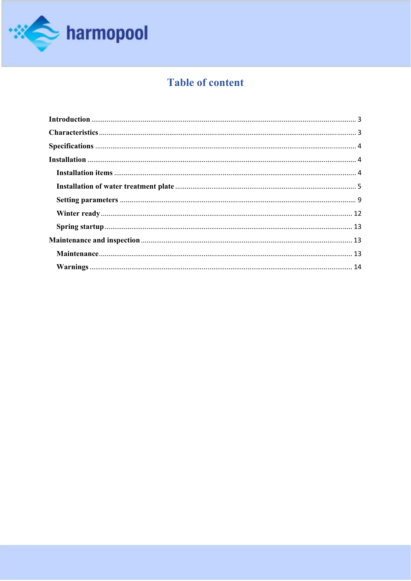

# **Table of content**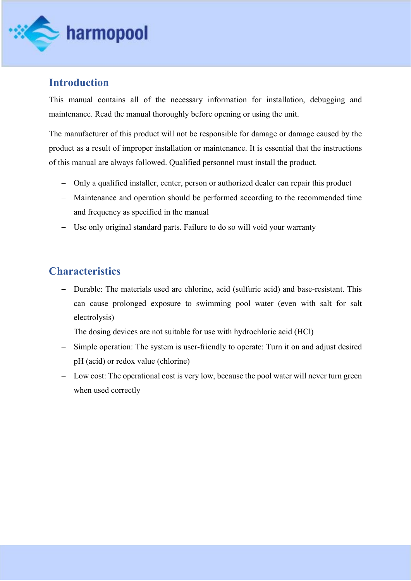

## **Introduction**

This manual contains all of the necessary information for installation, debugging and maintenance. Read the manual thoroughly before opening or using the unit.

The manufacturer of this product will not be responsible for damage or damage caused by the product as a result of improper installation or maintenance. It is essential that the instructions of this manual are always followed. Qualified personnel must install the product.

- Only a qualified installer, center, person or authorized dealer can repair this product
- Maintenance and operation should be performed according to the recommended time and frequency as specified in the manual
- Use only original standard parts. Failure to do so will void your warranty

## **Characteristics**

 Durable: The materials used are chlorine, acid (sulfuric acid) and base-resistant. This can cause prolonged exposure to swimming pool water (even with salt for salt electrolysis)

The dosing devices are not suitable for use with hydrochloric acid (HCl)

- Simple operation: The system is user-friendly to operate: Turn it on and adjust desired pH (acid) or redox value (chlorine)
- Low cost: The operational cost is very low, because the pool water will never turn green when used correctly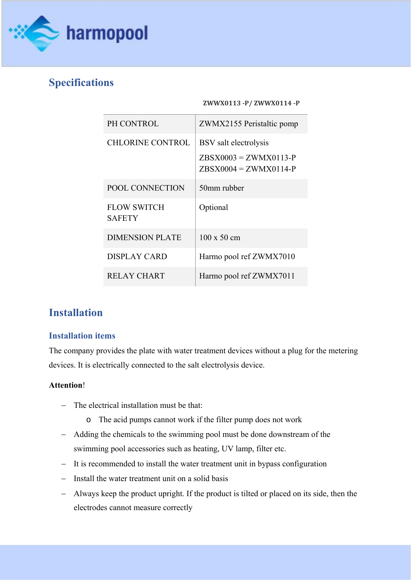

# **Specifications**

#### **ZWWX0113 ‐P/ ZWWX0114 ‐P**

| PH CONTROL                          | ZWMX2155 Peristaltic pomp                          |
|-------------------------------------|----------------------------------------------------|
| <b>CHLORINE CONTROL</b>             | BSV salt electrolysis                              |
|                                     | $ZBSX0003 = ZWMX0113-P$<br>$ZBSX0004 = ZWMX0114-P$ |
| POOL CONNECTION                     | 50mm rubber                                        |
| <b>FLOW SWITCH</b><br><b>SAFETY</b> | Optional                                           |
| <b>DIMENSION PLATE</b>              | $100 \times 50$ cm                                 |
| DISPLAY CARD                        | Harmo pool ref ZWMX7010                            |
| RELAY CHART                         | Harmo pool ref ZWMX7011                            |

# **Installation**

#### **Installation items**

The company provides the plate with water treatment devices without a plug for the metering devices. It is electrically connected to the salt electrolysis device.

#### **Attention**!

- The electrical installation must be that:
	- o The acid pumps cannot work if the filter pump does not work
- Adding the chemicals to the swimming pool must be done downstream of the swimming pool accessories such as heating, UV lamp, filter etc.
- It is recommended to install the water treatment unit in bypass configuration
- $-$  Install the water treatment unit on a solid basis
- Always keep the product upright. If the product is tilted or placed on its side, then the electrodes cannot measure correctly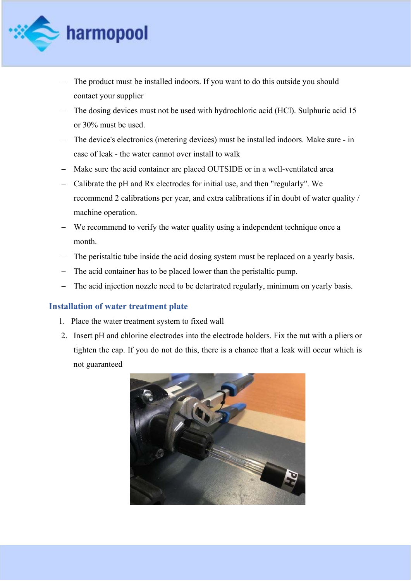

- The product must be installed indoors. If you want to do this outside you should contact your supplier
- The dosing devices must not be used with hydrochloric acid (HCl). Sulphuric acid 15 or 30% must be used.
- The device's electronics (metering devices) must be installed indoors. Make sure in case of leak - the water cannot over install to walk
- Make sure the acid container are placed OUTSIDE or in a well-ventilated area
- Calibrate the pH and Rx electrodes for initial use, and then "regularly". We recommend 2 calibrations per year, and extra calibrations if in doubt of water quality / machine operation.
- We recommend to verify the water quality using a independent technique once a month.
- The peristaltic tube inside the acid dosing system must be replaced on a yearly basis.
- The acid container has to be placed lower than the peristaltic pump.
- The acid injection nozzle need to be detartrated regularly, minimum on yearly basis.

#### **Installation of water treatment plate**

- 1. Place the water treatment system to fixed wall
- 2. Insert pH and chlorine electrodes into the electrode holders. Fix the nut with a pliers or tighten the cap. If you do not do this, there is a chance that a leak will occur which is not guaranteed

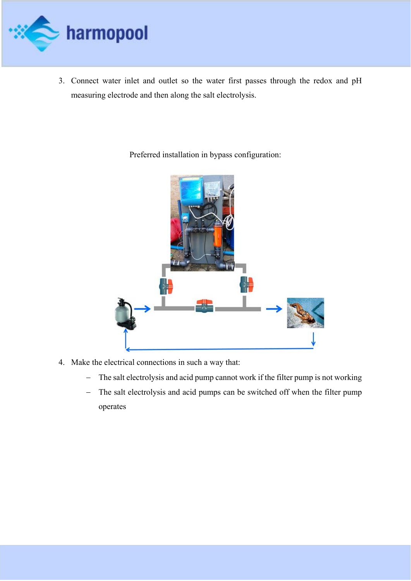

3. Connect water inlet and outlet so the water first passes through the redox and pH measuring electrode and then along the salt electrolysis.

Preferred installation in bypass configuration:



- 4. Make the electrical connections in such a way that:
	- The salt electrolysis and acid pump cannot work if the filter pump is not working
	- The salt electrolysis and acid pumps can be switched off when the filter pump operates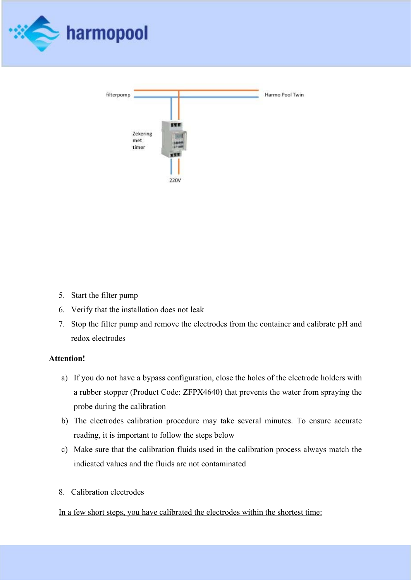



- 5. Start the filter pump
- 6. Verify that the installation does not leak
- 7. Stop the filter pump and remove the electrodes from the container and calibrate pH and redox electrodes

#### **Attention!**

- a) If you do not have a bypass configuration, close the holes of the electrode holders with a rubber stopper (Product Code: ZFPX4640) that prevents the water from spraying the probe during the calibration
- b) The electrodes calibration procedure may take several minutes. To ensure accurate reading, it is important to follow the steps below
- c) Make sure that the calibration fluids used in the calibration process always match the indicated values and the fluids are not contaminated
- 8. Calibration electrodes

#### In a few short steps, you have calibrated the electrodes within the shortest time: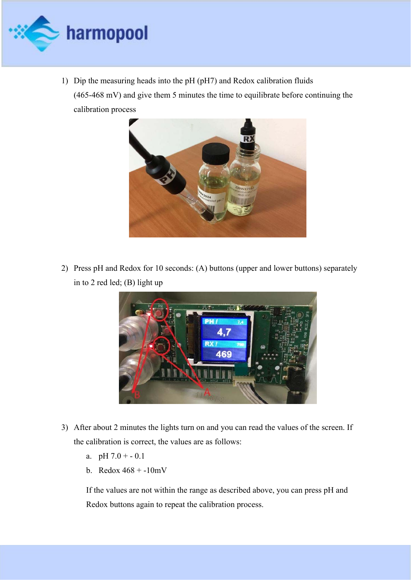

1) Dip the measuring heads into the pH (pH7) and Redox calibration fluids (465-468 mV) and give them 5 minutes the time to equilibrate before continuing the calibration process



2) Press pH and Redox for 10 seconds: (A) buttons (upper and lower buttons) separately in to 2 red led; (B) light up



- 3) After about 2 minutes the lights turn on and you can read the values of the screen. If the calibration is correct, the values are as follows:
	- a. pH  $7.0 + -0.1$
	- b. Redox 468 + -10mV

If the values are not within the range as described above, you can press pH and Redox buttons again to repeat the calibration process.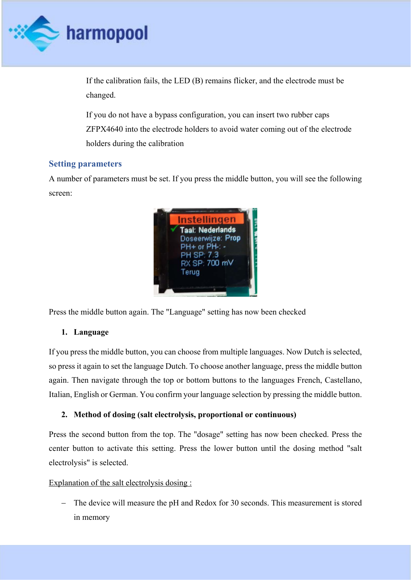

If the calibration fails, the LED (B) remains flicker, and the electrode must be changed.

If you do not have a bypass configuration, you can insert two rubber caps ZFPX4640 into the electrode holders to avoid water coming out of the electrode holders during the calibration

#### **Setting parameters**

A number of parameters must be set. If you press the middle button, you will see the following screen:



Press the middle button again. The "Language" setting has now been checked

#### **1. Language**

If you press the middle button, you can choose from multiple languages. Now Dutch is selected, so press it again to set the language Dutch. To choose another language, press the middle button again. Then navigate through the top or bottom buttons to the languages French, Castellano, Italian, English or German. You confirm your language selection by pressing the middle button.

#### **2. Method of dosing (salt electrolysis, proportional or continuous)**

Press the second button from the top. The "dosage" setting has now been checked. Press the center button to activate this setting. Press the lower button until the dosing method "salt electrolysis" is selected.

#### Explanation of the salt electrolysis dosing :

- The device will measure the pH and Redox for 30 seconds. This measurement is stored in memory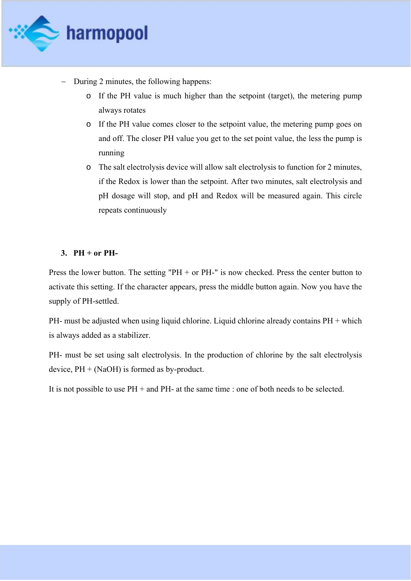

- During 2 minutes, the following happens:
	- o If the PH value is much higher than the setpoint (target), the metering pump always rotates
	- o If the PH value comes closer to the setpoint value, the metering pump goes on and off. The closer PH value you get to the set point value, the less the pump is running
	- o The salt electrolysis device will allow salt electrolysis to function for 2 minutes, if the Redox is lower than the setpoint. After two minutes, salt electrolysis and pH dosage will stop, and pH and Redox will be measured again. This circle repeats continuously

#### **3. PH + or PH-**

Press the lower button. The setting "PH + or PH-" is now checked. Press the center button to activate this setting. If the character appears, press the middle button again. Now you have the supply of PH-settled.

PH- must be adjusted when using liquid chlorine. Liquid chlorine already contains PH + which is always added as a stabilizer.

PH- must be set using salt electrolysis. In the production of chlorine by the salt electrolysis device,  $PH + (NaOH)$  is formed as by-product.

It is not possible to use PH + and PH- at the same time : one of both needs to be selected.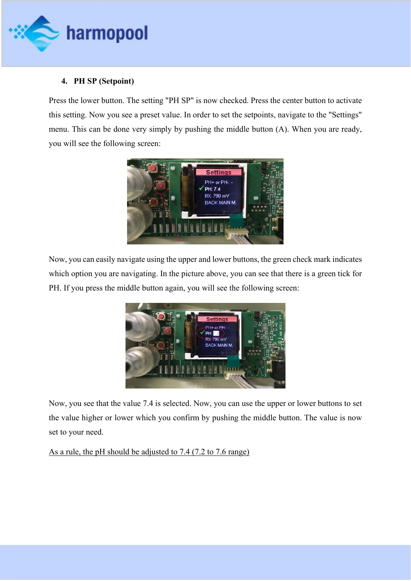

#### **4. PH SP (Setpoint)**

Press the lower button. The setting "PH SP" is now checked. Press the center button to activate this setting. Now you see a preset value. In order to set the setpoints, navigate to the "Settings" menu. This can be done very simply by pushing the middle button (A). When you are ready, you will see the following screen:



Now, you can easily navigate using the upper and lower buttons, the green check mark indicates which option you are navigating. In the picture above, you can see that there is a green tick for PH. If you press the middle button again, you will see the following screen:



Now, you see that the value 7.4 is selected. Now, you can use the upper or lower buttons to set the value higher or lower which you confirm by pushing the middle button. The value is now set to your need.

#### As a rule, the pH should be adjusted to 7.4 (7.2 to 7.6 range)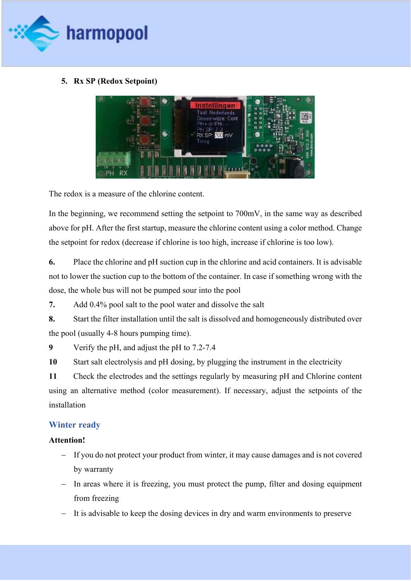

#### **5. Rx SP (Redox Setpoint)**



The redox is a measure of the chlorine content.

In the beginning, we recommend setting the setpoint to 700mV, in the same way as described above for pH. After the first startup, measure the chlorine content using a color method. Change the setpoint for redox (decrease if chlorine is too high, increase if chlorine is too low).

**6.** Place the chlorine and pH suction cup in the chlorine and acid containers. It is advisable not to lower the suction cup to the bottom of the container. In case if something wrong with the dose, the whole bus will not be pumped sour into the pool

**7.** Add 0.4% pool salt to the pool water and dissolve the salt

**8.** Start the filter installation until the salt is dissolved and homogeneously distributed over the pool (usually 4-8 hours pumping time).

**9** Verify the pH, and adjust the pH to 7.2-7.4

**10** Start salt electrolysis and pH dosing, by plugging the instrument in the electricity

**11** Check the electrodes and the settings regularly by measuring pH and Chlorine content using an alternative method (color measurement). If necessary, adjust the setpoints of the installation

#### **Winter ready**

#### **Attention!**

- If you do not protect your product from winter, it may cause damages and is not covered by warranty
- In areas where it is freezing, you must protect the pump, filter and dosing equipment from freezing
- It is advisable to keep the dosing devices in dry and warm environments to preserve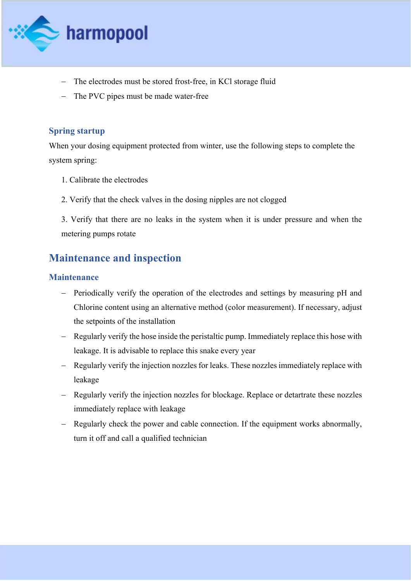![](_page_12_Picture_0.jpeg)

- The electrodes must be stored frost-free, in KCl storage fluid
- The PVC pipes must be made water-free

#### **Spring startup**

When your dosing equipment protected from winter, use the following steps to complete the system spring:

- 1. Calibrate the electrodes
- 2. Verify that the check valves in the dosing nipples are not clogged

3. Verify that there are no leaks in the system when it is under pressure and when the metering pumps rotate

## **Maintenance and inspection**

#### **Maintenance**

- Periodically verify the operation of the electrodes and settings by measuring pH and Chlorine content using an alternative method (color measurement). If necessary, adjust the setpoints of the installation
- Regularly verify the hose inside the peristaltic pump. Immediately replace this hose with leakage. It is advisable to replace this snake every year
- Regularly verify the injection nozzles for leaks. These nozzles immediately replace with leakage
- Regularly verify the injection nozzles for blockage. Replace or detartrate these nozzles immediately replace with leakage
- Regularly check the power and cable connection. If the equipment works abnormally, turn it off and call a qualified technician